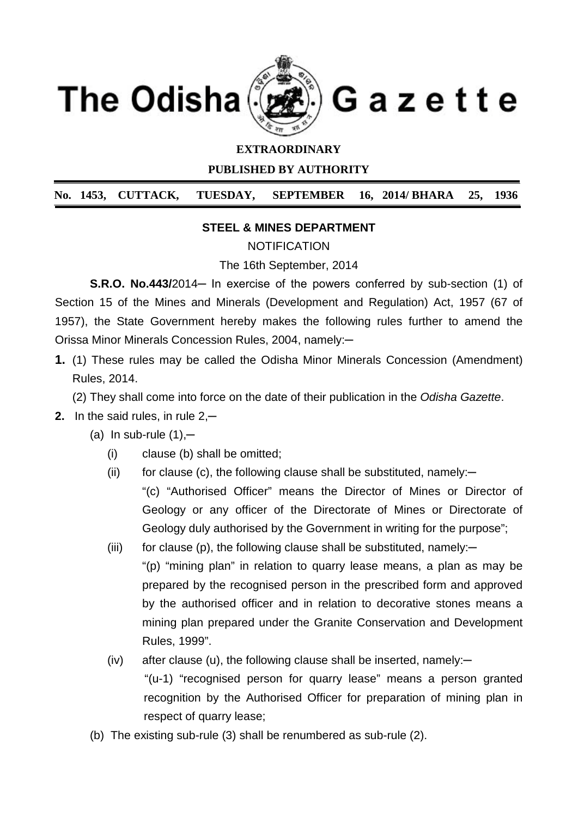

## **EXTRAORDINARY**

**PUBLISHED BY AUTHORITY**

**No. 1453, CUTTACK, TUESDAY, SEPTEMBER 16, 2014/ BHARA 25, 1936**

### **STEEL & MINES DEPARTMENT**

**NOTIFICATION** 

The 16th September, 2014

**S.R.O. No.443/2014**— In exercise of the powers conferred by sub-section (1) of Section 15 of the Mines and Minerals (Development and Regulation) Act, 1957 (67 of 1957), the State Government hereby makes the following rules further to amend the Orissa Minor Minerals Concession Rules, 2004, namely:─

- **1.** (1) These rules may be called the Odisha Minor Minerals Concession (Amendment) Rules, 2014.
	- (2) They shall come into force on the date of their publication in the *Odisha Gazette*.
- **2.** In the said rules, in rule 2,**─**
	- (a) In sub-rule (1),**─**
		- (i) clause (b) shall be omitted;
		- (ii) for clause (c), the following clause shall be substituted, namely: $-$ "(c) "Authorised Officer" means the Director of Mines or Director of Geology or any officer of the Directorate of Mines or Directorate of Geology duly authorised by the Government in writing for the purpose";
		- (iii) for clause (p), the following clause shall be substituted, namely: $-$ "(p) "mining plan" in relation to quarry lease means, a plan as may be prepared by the recognised person in the prescribed form and approved by the authorised officer and in relation to decorative stones means a mining plan prepared under the Granite Conservation and Development Rules, 1999".
		- (iv) after clause (u), the following clause shall be inserted, namely:*─* "(u-1) "recognised person for quarry lease" means a person granted recognition by the Authorised Officer for preparation of mining plan in respect of quarry lease;
	- (b) The existing sub-rule (3) shall be renumbered as sub-rule (2).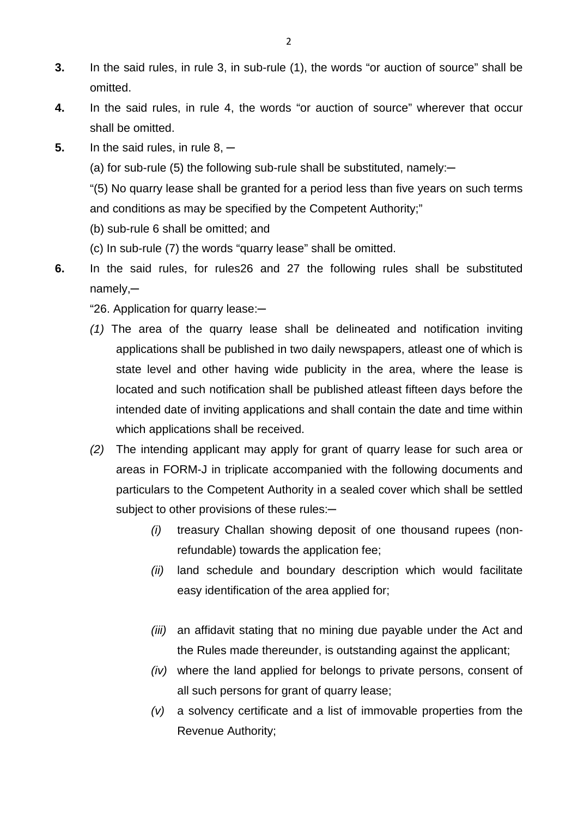- **3.** In the said rules, in rule 3, in sub-rule (1), the words "or auction of source" shall be omitted.
- **4.** In the said rules, in rule 4, the words "or auction of source" wherever that occur shall be omitted.
- **5.** In the said rules, in rule 8,  $-$ 
	- (a) for sub-rule (5) the following sub-rule shall be substituted, namely:─

"(5) No quarry lease shall be granted for a period less than five years on such terms and conditions as may be specified by the Competent Authority;"

- (b) sub-rule 6 shall be omitted; and
- (c) In sub-rule (7) the words "quarry lease" shall be omitted.
- **6.** In the said rules, for rules26 and 27 the following rules shall be substituted namely,─
	- "26. Application for quarry lease:─
	- *(1)* The area of the quarry lease shall be delineated and notification inviting applications shall be published in two daily newspapers, atleast one of which is state level and other having wide publicity in the area, where the lease is located and such notification shall be published atleast fifteen days before the intended date of inviting applications and shall contain the date and time within which applications shall be received.
	- *(2)* The intending applicant may apply for grant of quarry lease for such area or areas in FORM-J in triplicate accompanied with the following documents and particulars to the Competent Authority in a sealed cover which shall be settled subject to other provisions of these rules:-
		- *(i)* treasury Challan showing deposit of one thousand rupees (nonrefundable) towards the application fee;
		- *(ii)* land schedule and boundary description which would facilitate easy identification of the area applied for;
		- *(iii)* an affidavit stating that no mining due payable under the Act and the Rules made thereunder, is outstanding against the applicant;
		- *(iv)* where the land applied for belongs to private persons, consent of all such persons for grant of quarry lease;
		- *(v)* a solvency certificate and a list of immovable properties from the Revenue Authority;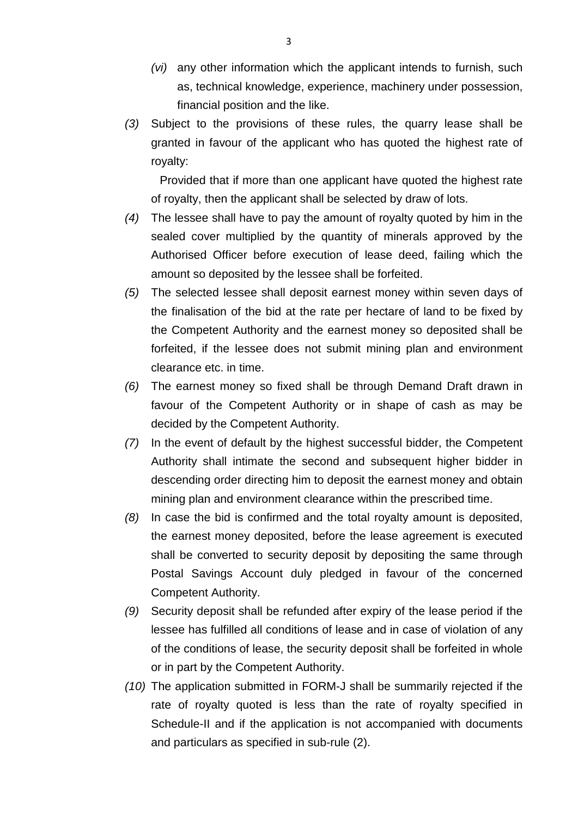- *(vi)* any other information which the applicant intends to furnish, such as, technical knowledge, experience, machinery under possession, financial position and the like.
- *(3)* Subject to the provisions of these rules, the quarry lease shall be granted in favour of the applicant who has quoted the highest rate of royalty:

Provided that if more than one applicant have quoted the highest rate of royalty, then the applicant shall be selected by draw of lots.

- *(4)* The lessee shall have to pay the amount of royalty quoted by him in the sealed cover multiplied by the quantity of minerals approved by the Authorised Officer before execution of lease deed, failing which the amount so deposited by the lessee shall be forfeited.
- *(5)* The selected lessee shall deposit earnest money within seven days of the finalisation of the bid at the rate per hectare of land to be fixed by the Competent Authority and the earnest money so deposited shall be forfeited, if the lessee does not submit mining plan and environment clearance etc. in time.
- *(6)* The earnest money so fixed shall be through Demand Draft drawn in favour of the Competent Authority or in shape of cash as may be decided by the Competent Authority.
- *(7)* In the event of default by the highest successful bidder, the Competent Authority shall intimate the second and subsequent higher bidder in descending order directing him to deposit the earnest money and obtain mining plan and environment clearance within the prescribed time.
- *(8)* In case the bid is confirmed and the total royalty amount is deposited, the earnest money deposited, before the lease agreement is executed shall be converted to security deposit by depositing the same through Postal Savings Account duly pledged in favour of the concerned Competent Authority.
- *(9)* Security deposit shall be refunded after expiry of the lease period if the lessee has fulfilled all conditions of lease and in case of violation of any of the conditions of lease, the security deposit shall be forfeited in whole or in part by the Competent Authority.
- *(10)* The application submitted in FORM-J shall be summarily rejected if the rate of royalty quoted is less than the rate of royalty specified in Schedule-II and if the application is not accompanied with documents and particulars as specified in sub-rule (2).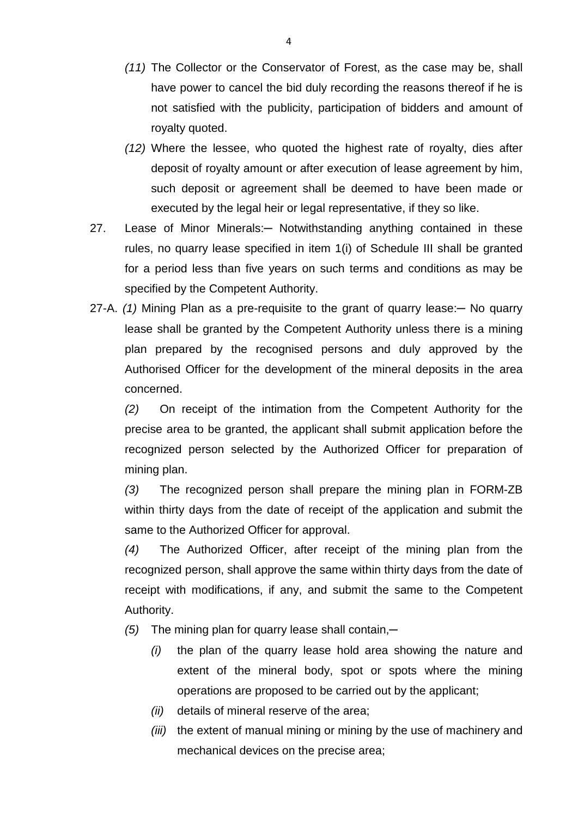- *(11)* The Collector or the Conservator of Forest, as the case may be, shall have power to cancel the bid duly recording the reasons thereof if he is not satisfied with the publicity, participation of bidders and amount of royalty quoted.
- *(12)* Where the lessee, who quoted the highest rate of royalty, dies after deposit of royalty amount or after execution of lease agreement by him, such deposit or agreement shall be deemed to have been made or executed by the legal heir or legal representative, if they so like.
- 27. Lease of Minor Minerals: Notwithstanding anything contained in these rules, no quarry lease specified in item 1(i) of Schedule III shall be granted for a period less than five years on such terms and conditions as may be specified by the Competent Authority.
- 27-A. *(1)* Mining Plan as a pre-requisite to the grant of quarry lease:─ No quarry lease shall be granted by the Competent Authority unless there is a mining plan prepared by the recognised persons and duly approved by the Authorised Officer for the development of the mineral deposits in the area concerned.

*(2)* On receipt of the intimation from the Competent Authority for the precise area to be granted, the applicant shall submit application before the recognized person selected by the Authorized Officer for preparation of mining plan.

*(3)* The recognized person shall prepare the mining plan in FORM-ZB within thirty days from the date of receipt of the application and submit the same to the Authorized Officer for approval.

*(4)* The Authorized Officer, after receipt of the mining plan from the recognized person, shall approve the same within thirty days from the date of receipt with modifications, if any, and submit the same to the Competent Authority.

- *(5)* The mining plan for quarry lease shall contain,─
	- *(i)* the plan of the quarry lease hold area showing the nature and extent of the mineral body, spot or spots where the mining operations are proposed to be carried out by the applicant;
	- *(ii)* details of mineral reserve of the area;
	- *(iii)* the extent of manual mining or mining by the use of machinery and mechanical devices on the precise area;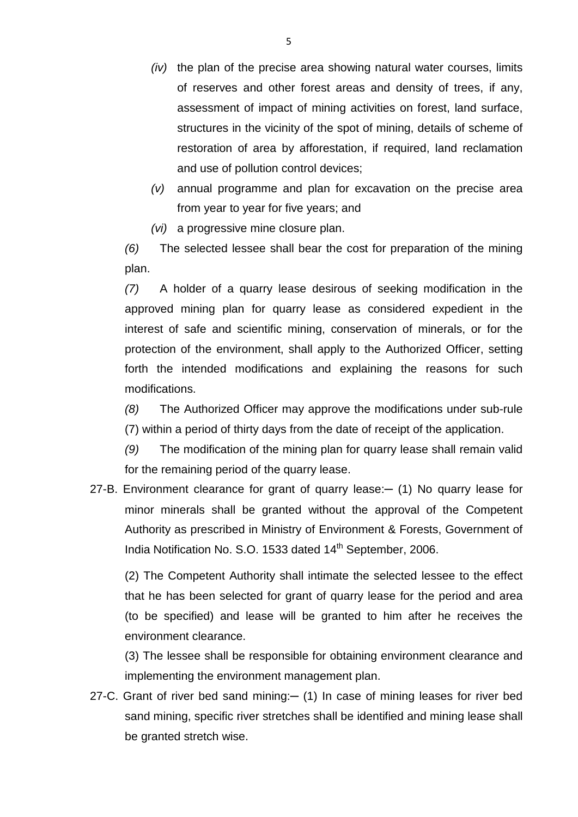- *(iv)* the plan of the precise area showing natural water courses, limits of reserves and other forest areas and density of trees, if any, assessment of impact of mining activities on forest, land surface, structures in the vicinity of the spot of mining, details of scheme of restoration of area by afforestation, if required, land reclamation and use of pollution control devices;
- *(v)* annual programme and plan for excavation on the precise area from year to year for five years; and
- *(vi)* a progressive mine closure plan.

*(6)* The selected lessee shall bear the cost for preparation of the mining plan.

*(7)* A holder of a quarry lease desirous of seeking modification in the approved mining plan for quarry lease as considered expedient in the interest of safe and scientific mining, conservation of minerals, or for the protection of the environment, shall apply to the Authorized Officer, setting forth the intended modifications and explaining the reasons for such modifications.

*(8)* The Authorized Officer may approve the modifications under sub-rule (7) within a period of thirty days from the date of receipt of the application.

*(9)* The modification of the mining plan for quarry lease shall remain valid for the remaining period of the quarry lease.

27-B. Environment clearance for grant of quarry lease: - (1) No quarry lease for minor minerals shall be granted without the approval of the Competent Authority as prescribed in Ministry of Environment & Forests, Government of India Notification No. S.O. 1533 dated 14<sup>th</sup> September, 2006.

(2) The Competent Authority shall intimate the selected lessee to the effect that he has been selected for grant of quarry lease for the period and area (to be specified) and lease will be granted to him after he receives the environment clearance.

(3) The lessee shall be responsible for obtaining environment clearance and implementing the environment management plan.

27-C. Grant of river bed sand mining: - (1) In case of mining leases for river bed sand mining, specific river stretches shall be identified and mining lease shall be granted stretch wise.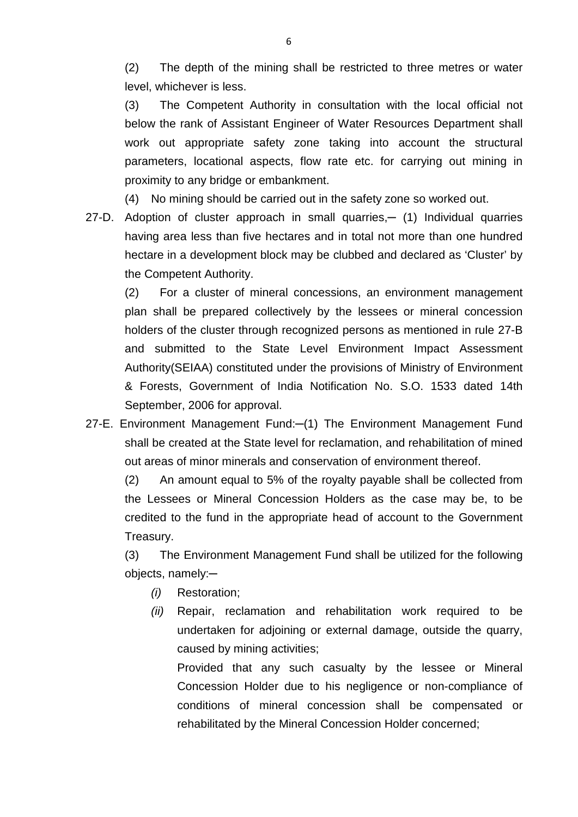(2) The depth of the mining shall be restricted to three metres or water level, whichever is less.

(3) The Competent Authority in consultation with the local official not below the rank of Assistant Engineer of Water Resources Department shall work out appropriate safety zone taking into account the structural parameters, locational aspects, flow rate etc. for carrying out mining in proximity to any bridge or embankment.

(4) No mining should be carried out in the safety zone so worked out.

27-D. Adoption of cluster approach in small quarries,— (1) Individual quarries having area less than five hectares and in total not more than one hundred hectare in a development block may be clubbed and declared as 'Cluster' by the Competent Authority.

(2) For a cluster of mineral concessions, an environment management plan shall be prepared collectively by the lessees or mineral concession holders of the cluster through recognized persons as mentioned in rule 27-B and submitted to the State Level Environment Impact Assessment Authority(SEIAA) constituted under the provisions of Ministry of Environment & Forests, Government of India Notification No. S.O. 1533 dated 14th September, 2006 for approval.

27-E. Environment Management Fund:-(1) The Environment Management Fund shall be created at the State level for reclamation, and rehabilitation of mined out areas of minor minerals and conservation of environment thereof.

(2) An amount equal to 5% of the royalty payable shall be collected from the Lessees or Mineral Concession Holders as the case may be, to be credited to the fund in the appropriate head of account to the Government Treasury.

(3) The Environment Management Fund shall be utilized for the following objects, namely:─

- *(i)* Restoration;
- *(ii)* Repair, reclamation and rehabilitation work required to be undertaken for adjoining or external damage, outside the quarry, caused by mining activities;

Provided that any such casualty by the lessee or Mineral Concession Holder due to his negligence or non-compliance of conditions of mineral concession shall be compensated or rehabilitated by the Mineral Concession Holder concerned;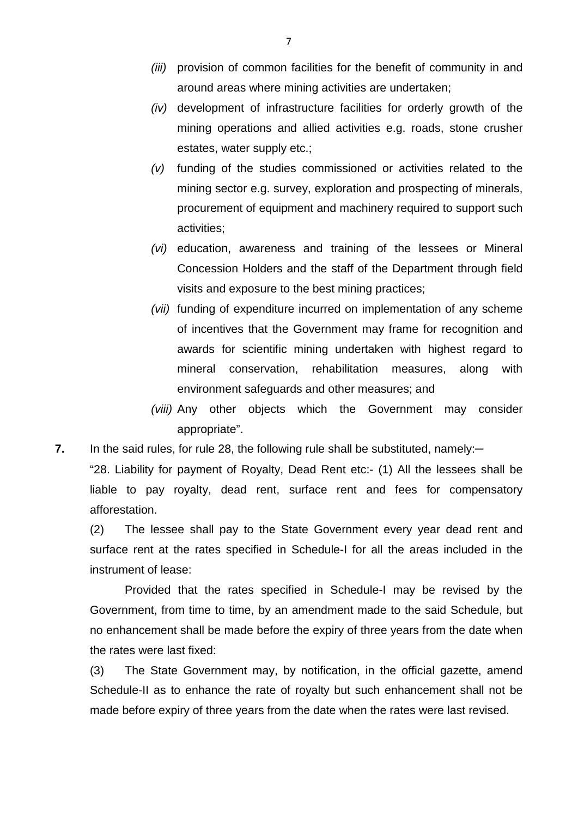- *(iii)* provision of common facilities for the benefit of community in and around areas where mining activities are undertaken;
- *(iv)* development of infrastructure facilities for orderly growth of the mining operations and allied activities e.g. roads, stone crusher estates, water supply etc.;
- *(v)* funding of the studies commissioned or activities related to the mining sector e.g. survey, exploration and prospecting of minerals, procurement of equipment and machinery required to support such activities;
- *(vi)* education, awareness and training of the lessees or Mineral Concession Holders and the staff of the Department through field visits and exposure to the best mining practices;
- *(vii)* funding of expenditure incurred on implementation of any scheme of incentives that the Government may frame for recognition and awards for scientific mining undertaken with highest regard to mineral conservation, rehabilitation measures, along with environment safeguards and other measures; and
- *(viii)* Any other objects which the Government may consider appropriate".
- **7.** In the said rules, for rule 28, the following rule shall be substituted, namely:-

"28. Liability for payment of Royalty, Dead Rent etc:- (1) All the lessees shall be liable to pay royalty, dead rent, surface rent and fees for compensatory afforestation.

(2) The lessee shall pay to the State Government every year dead rent and surface rent at the rates specified in Schedule-I for all the areas included in the instrument of lease:

Provided that the rates specified in Schedule-I may be revised by the Government, from time to time, by an amendment made to the said Schedule, but no enhancement shall be made before the expiry of three years from the date when the rates were last fixed:

(3) The State Government may, by notification, in the official gazette, amend Schedule-II as to enhance the rate of royalty but such enhancement shall not be made before expiry of three years from the date when the rates were last revised.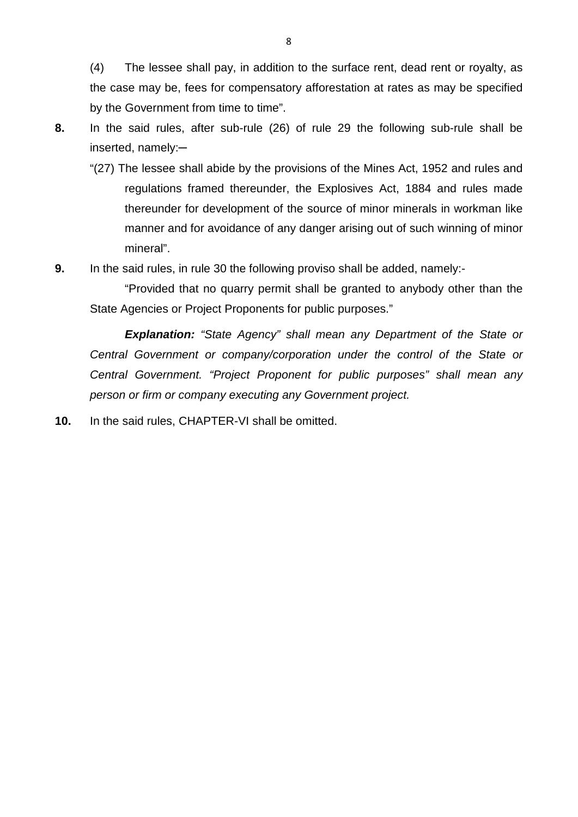(4) The lessee shall pay, in addition to the surface rent, dead rent or royalty, as the case may be, fees for compensatory afforestation at rates as may be specified by the Government from time to time".

- 
- **8.** In the said rules, after sub-rule (26) of rule 29 the following sub-rule shall be inserted, namely:─
	- "(27) The lessee shall abide by the provisions of the Mines Act, 1952 and rules and regulations framed thereunder, the Explosives Act, 1884 and rules made thereunder for development of the source of minor minerals in workman like manner and for avoidance of any danger arising out of such winning of minor mineral".
- **9.** In the said rules, in rule 30 the following proviso shall be added, namely:-

"Provided that no quarry permit shall be granted to anybody other than the State Agencies or Project Proponents for public purposes."

*Explanation: "State Agency" shall mean any Department of the State or Central Government or company/corporation under the control of the State or Central Government. "Project Proponent for public purposes" shall mean any person or firm or company executing any Government project.*

**10.** In the said rules, CHAPTER-VI shall be omitted.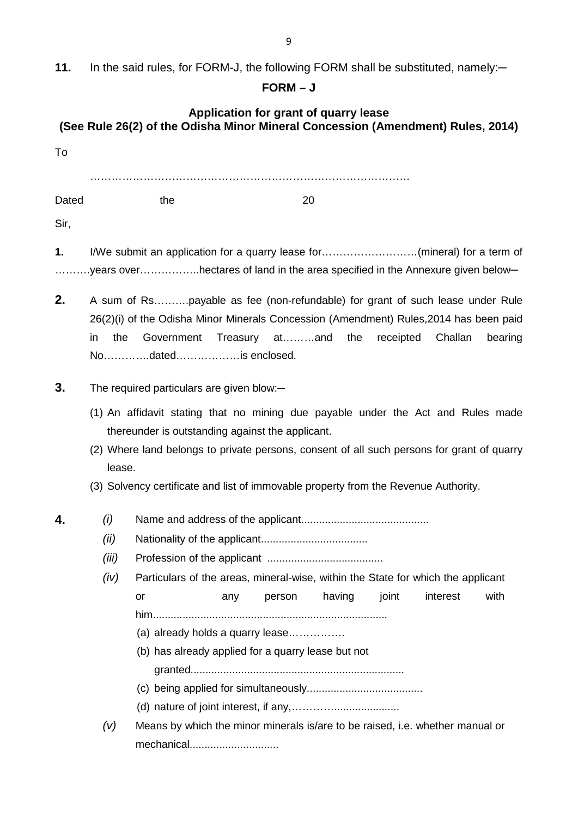11. In the said rules, for FORM-J, the following FORM shall be substituted, namely:-

## **FORM – J**

# **Application for grant of quarry lease (See Rule 26(2) of the Odisha Minor Mineral Concession (Amendment) Rules, 2014)**

| To         |                                                                                                                                                                                                                                                                                                                                     |                                                                                                    |     |        |        |       |          |      |
|------------|-------------------------------------------------------------------------------------------------------------------------------------------------------------------------------------------------------------------------------------------------------------------------------------------------------------------------------------|----------------------------------------------------------------------------------------------------|-----|--------|--------|-------|----------|------|
| Dated      |                                                                                                                                                                                                                                                                                                                                     | the                                                                                                |     | 20     |        |       |          |      |
| Sir,<br>1. |                                                                                                                                                                                                                                                                                                                                     | I/We submit an application for a quarry lease for(mineral) for a term of                           |     |        |        |       |          |      |
|            |                                                                                                                                                                                                                                                                                                                                     | years overhectares of land in the area specified in the Annexure given below-                      |     |        |        |       |          |      |
| 2.         | A sum of Rspayable as fee (non-refundable) for grant of such lease under Rule<br>26(2)(i) of the Odisha Minor Minerals Concession (Amendment) Rules, 2014 has been paid<br>the<br>Government<br>Treasury atand the<br>Challan<br>in<br>receipted<br>bearing<br>Nodatedis enclosed.                                                  |                                                                                                    |     |        |        |       |          |      |
| 3.         | The required particulars are given blow:-                                                                                                                                                                                                                                                                                           |                                                                                                    |     |        |        |       |          |      |
|            | (1) An affidavit stating that no mining due payable under the Act and Rules made<br>thereunder is outstanding against the applicant.<br>(2) Where land belongs to private persons, consent of all such persons for grant of quarry<br>lease.<br>(3) Solvency certificate and list of immovable property from the Revenue Authority. |                                                                                                    |     |        |        |       |          |      |
| 4.         | (i)                                                                                                                                                                                                                                                                                                                                 |                                                                                                    |     |        |        |       |          |      |
|            | (ii)                                                                                                                                                                                                                                                                                                                                |                                                                                                    |     |        |        |       |          |      |
|            | (iii)                                                                                                                                                                                                                                                                                                                               |                                                                                                    |     |        |        |       |          |      |
|            | (iv)                                                                                                                                                                                                                                                                                                                                | Particulars of the areas, mineral-wise, within the State for which the applicant                   |     |        |        |       |          |      |
|            |                                                                                                                                                                                                                                                                                                                                     | or                                                                                                 | any | person | having | joint | interest | with |
|            |                                                                                                                                                                                                                                                                                                                                     |                                                                                                    |     |        |        |       |          |      |
|            |                                                                                                                                                                                                                                                                                                                                     | (a) already holds a quarry lease                                                                   |     |        |        |       |          |      |
|            | (b) has already applied for a quarry lease but not                                                                                                                                                                                                                                                                                  |                                                                                                    |     |        |        |       |          |      |
|            |                                                                                                                                                                                                                                                                                                                                     |                                                                                                    |     |        |        |       |          |      |
|            |                                                                                                                                                                                                                                                                                                                                     |                                                                                                    |     |        |        |       |          |      |
|            |                                                                                                                                                                                                                                                                                                                                     | Means by which the minor minerals is/are to be raised, i.e. whether manual or<br>(V)<br>mechanical |     |        |        |       |          |      |
|            |                                                                                                                                                                                                                                                                                                                                     |                                                                                                    |     |        |        |       |          |      |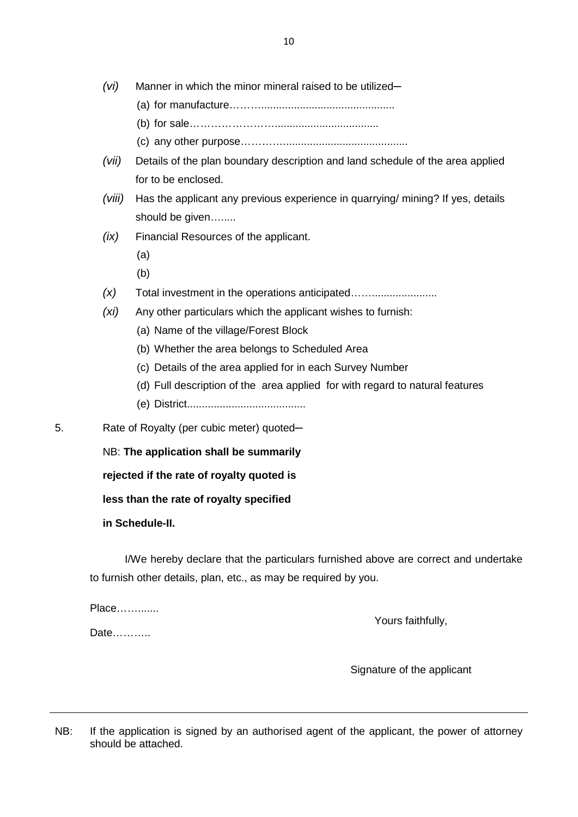- (a) for manufacture……….............................................
- (b) for sale……………………...................................
- (c) any other purpose…………..........................................
- *(vii)* Details of the plan boundary description and land schedule of the area applied for to be enclosed.
- *(viii)* Has the applicant any previous experience in quarrying/ mining? If yes, details should be given….....
- *(ix)* Financial Resources of the applicant.
	- (a)
	- (b)
- *(x)* Total investment in the operations anticipated……......................
- *(xi)* Any other particulars which the applicant wishes to furnish:
	- (a) Name of the village/Forest Block
	- (b) Whether the area belongs to Scheduled Area
	- (c) Details of the area applied for in each Survey Number
	- (d) Full description of the area applied for with regard to natural features
	- (e) District........................................
- 5. Rate of Royalty (per cubic meter) quoted—

NB: **The application shall be summarily** 

**rejected if the rate of royalty quoted is** 

**less than the rate of royalty specified** 

**in Schedule-II.** 

I/We hereby declare that the particulars furnished above are correct and undertake to furnish other details, plan, etc., as may be required by you.

Place…….......

Yours faithfully,

Date………..

Signature of the applicant

NB: If the application is signed by an authorised agent of the applicant, the power of attorney should be attached.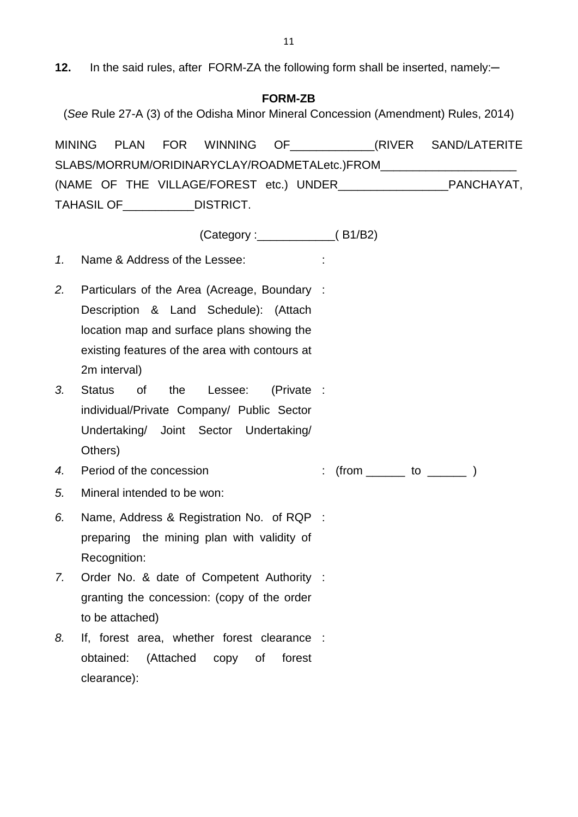12. In the said rules, after FORM-ZA the following form shall be inserted, namely:-

### **FORM-ZB**

(*See* Rule 27-A (3) of the Odisha Minor Mineral Concession (Amendment) Rules, 2014)

MINING PLAN FOR WINNING OF THE CRIVER SAND/LATERITE SLABS/MORRUM/ORIDINARYCLAY/ROADMETALetc.)FROM (NAME OF THE VILLAGE/FOREST etc.) UNDER\_\_\_\_\_\_\_\_\_\_\_\_\_\_\_\_\_PANCHAYAT, TAHASIL OF\_\_\_\_\_\_\_\_\_\_\_DISTRICT.

(Category :\_\_\_\_\_\_\_\_\_\_\_\_( B1/B2)

*1.* Name & Address of the Lessee: :

- *2.* Particulars of the Area (Acreage, Boundary : Description & Land Schedule): (Attach location map and surface plans showing the existing features of the area with contours at 2m interval)
- *3.* Status of the Lessee: (Private : individual/Private Company/ Public Sector Undertaking/ Joint Sector Undertaking/ Others)
- *4.* Period of the concession : (from \_\_\_\_\_ to \_\_\_\_\_ )
- *5.* Mineral intended to be won:
- *6.* Name, Address & Registration No. of RQP : preparing the mining plan with validity of Recognition:
- *7.* Order No. & date of Competent Authority : granting the concession: (copy of the order to be attached)
- *8.* If, forest area, whether forest clearance :obtained: (Attached copy of forest clearance):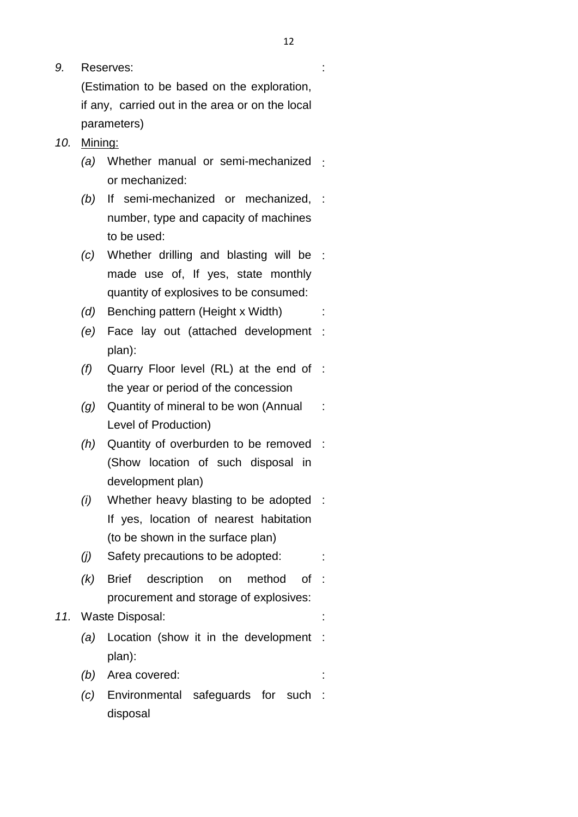(Estimation to be based on the exploration, if any, carried out in the area or on the local parameters)

- *10.* Mining:
	- *(a)* Whether manual or semi-mechanized : or mechanized:
	- *(b)* If semi-mechanized or mechanized, : number, type and capacity of machines to be used:
	- *(c)* Whether drilling and blasting will be : made use of, If yes, state monthly quantity of explosives to be consumed:
	- *(d)* Benching pattern (Height x Width) :
	- *(e)* Face lay out (attached development : plan):
	- *(f)* Quarry Floor level (RL) at the end of : the year or period of the concession
	- *(g)* Quantity of mineral to be won (Annual Level of Production) :
	- *(h)* Quantity of overburden to be removed : (Show location of such disposal in development plan)
	- *(i)* Whether heavy blasting to be adopted : If yes, location of nearest habitation (to be shown in the surface plan)
	- *(j)* Safety precautions to be adopted: :
	- $(k)$  Brief description on method procurement and storage of explosives: of :

### *11.* Waste Disposal: :

- *(a)* Location (show it in the development : plan):
- *(b)* Area covered:
- *(c)* Environmental safeguards for such :disposal

: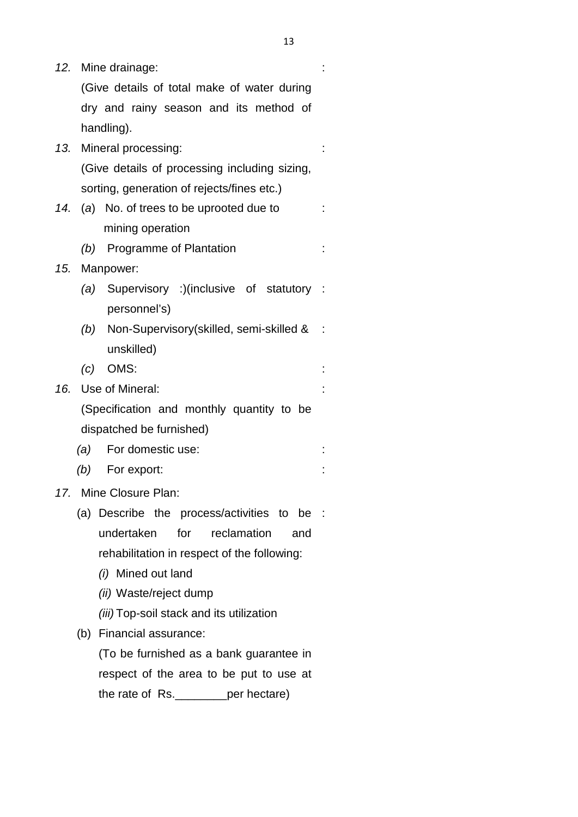*12.* Mine drainage: (Give details of total make of water during dry and rainy season and its method of handling). : *13.* Mineral processing: (Give details of processing including sizing, sorting, generation of rejects/fines etc.) : *14.* (*a*) No. of trees to be uprooted due to mining operation : *(b)* Programme of Plantation : *15.* Manpower: *(a)* Supervisory :)(inclusive of statutory : personnel's) *(b)* Non-Supervisory(skilled, semi-skilled & : unskilled) *(c)* OMS: : *16.* Use of Mineral: (Specification and monthly quantity to be dispatched be furnished) : *(a)* For domestic use: : *(b)* For export: : *17.* Mine Closure Plan: (a) Describe the process/activities to be : undertaken for reclamation and rehabilitation in respect of the following: *(i)* Mined out land *(ii)* Waste/reject dump *(iii)* Top-soil stack and its utilization (b) Financial assurance: (To be furnished as a bank guarantee in respect of the area to be put to use at the rate of Rs. \_\_\_\_\_\_\_\_per hectare)